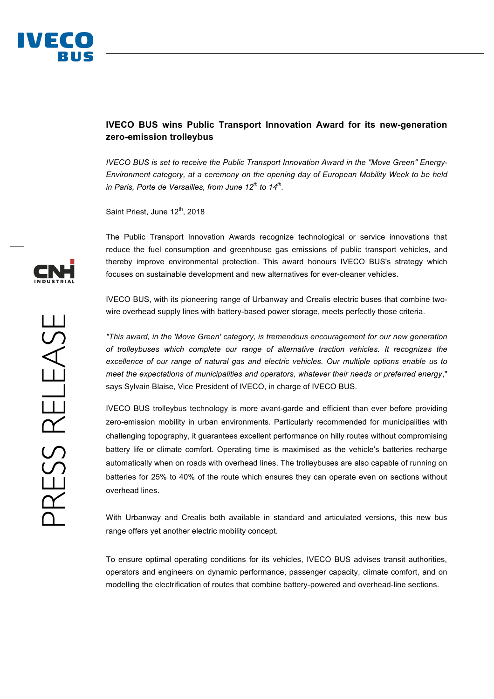

## **IVECO BUS wins Public Transport Innovation Award for its new-generation zero-emission trolleybus**

*IVECO BUS is set to receive the Public Transport Innovation Award in the "Move Green" Energy-Environment category, at a ceremony on the opening day of European Mobility Week to be held in Paris, Porte de Versailles, from June 12th to 14th.*

Saint Priest, June 12<sup>th</sup>, 2018

The Public Transport Innovation Awards recognize technological or service innovations that reduce the fuel consumption and greenhouse gas emissions of public transport vehicles, and thereby improve environmental protection. This award honours IVECO BUS's strategy which focuses on sustainable development and new alternatives for ever-cleaner vehicles.

IVECO BUS, with its pioneering range of Urbanway and Crealis electric buses that combine twowire overhead supply lines with battery-based power storage, meets perfectly those criteria.

*"This award, in the 'Move Green' category, is tremendous encouragement for our new generation of trolleybuses which complete our range of alternative traction vehicles. It recognizes the excellence of our range of natural gas and electric vehicles. Our multiple options enable us to meet the expectations of municipalities and operators, whatever their needs or preferred energy*," says Sylvain Blaise, Vice President of IVECO, in charge of IVECO BUS.

IVECO BUS trolleybus technology is more avant-garde and efficient than ever before providing zero-emission mobility in urban environments. Particularly recommended for municipalities with challenging topography, it guarantees excellent performance on hilly routes without compromising battery life or climate comfort. Operating time is maximised as the vehicle's batteries recharge automatically when on roads with overhead lines. The trolleybuses are also capable of running on batteries for 25% to 40% of the route which ensures they can operate even on sections without overhead lines.

With Urbanway and Crealis both available in standard and articulated versions, this new bus range offers yet another electric mobility concept.

To ensure optimal operating conditions for its vehicles, IVECO BUS advises transit authorities, operators and engineers on dynamic performance, passenger capacity, climate comfort, and on modelling the electrification of routes that combine battery-powered and overhead-line sections.

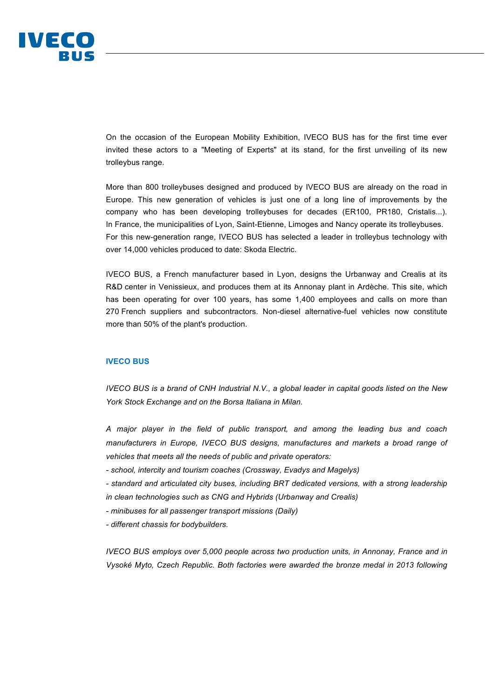

On the occasion of the European Mobility Exhibition, IVECO BUS has for the first time ever invited these actors to a "Meeting of Experts" at its stand, for the first unveiling of its new trolleybus range.

More than 800 trolleybuses designed and produced by IVECO BUS are already on the road in Europe. This new generation of vehicles is just one of a long line of improvements by the company who has been developing trolleybuses for decades (ER100, PR180, Cristalis...). In France, the municipalities of Lyon, Saint-Etienne, Limoges and Nancy operate its trolleybuses. For this new-generation range, IVECO BUS has selected a leader in trolleybus technology with over 14,000 vehicles produced to date: Skoda Electric.

IVECO BUS, a French manufacturer based in Lyon, designs the Urbanway and Crealis at its R&D center in Venissieux, and produces them at its Annonay plant in Ardèche. This site, which has been operating for over 100 years, has some 1,400 employees and calls on more than 270 French suppliers and subcontractors. Non-diesel alternative-fuel vehicles now constitute more than 50% of the plant's production.

## **IVECO BUS**

*IVECO BUS is a brand of CNH Industrial N.V., a global leader in capital goods listed on the New York Stock Exchange and on the Borsa Italiana in Milan.* 

*A major player in the field of public transport, and among the leading bus and coach manufacturers in Europe, IVECO BUS designs, manufactures and markets a broad range of vehicles that meets all the needs of public and private operators:* 

*- school, intercity and tourism coaches (Crossway, Evadys and Magelys)* 

*- standard and articulated city buses, including BRT dedicated versions, with a strong leadership in clean technologies such as CNG and Hybrids (Urbanway and Crealis)* 

*- minibuses for all passenger transport missions (Daily)* 

*- different chassis for bodybuilders.* 

*IVECO BUS employs over 5,000 people across two production units, in Annonay, France and in Vysoké Myto, Czech Republic. Both factories were awarded the bronze medal in 2013 following*